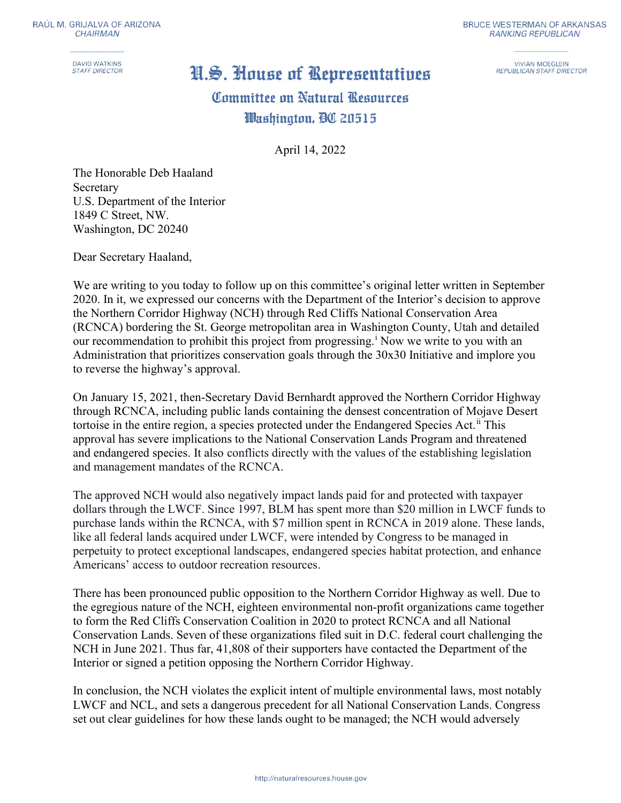**DAVID WATKINS STAFF DIRECTOR** 

## **BRUCE WESTERMAN OF ARKANSAS RANKING REPUBLICAN**

**VIVIAN MOEGLEIN REPUBLICAN STAFF DIRECTOR** 

## H.S. House of Representatives

## Committee on Natural Resources Washinaton, AC 20515

April 14, 2022

The Honorable Deb Haaland Secretary U.S. Department of the Interior 1849 C Street, NW. Washington, DC 20240

Dear Secretary Haaland,

We are writing to you today to follow up on this committee's original letter written in September 2020. In it, we expressed our concerns with the Department of the Interior's decision to approve the Northern Corridor Highway (NCH) through Red Cliffs National Conservation Area (RCNCA) bordering the St. George metropolitan area in Washington County, Utah and detailed our recommendation to prohibit this project from progressing.<sup>i</sup> Now we write to you with an Administration that prioritizes conservation goals through the 30x30 Initiative and implore you to reverse the highway's approval.

On January 15, 2021, then-Secretary David Bernhardt approved the Northern Corridor Highway through RCNCA, including public lands containing the densest concentration of Mojave Desert tortoise in the entire region, a species protected under the Endangered Species Act.<sup>ii</sup> This approval has severe implications to the National Conservation Lands Program and threatened and endangered species. It also conflicts directly with the values of the establishing legislation and management mandates of the RCNCA.

The approved NCH would also negatively impact lands paid for and protected with taxpayer dollars through the LWCF. Since 1997, BLM has spent more than \$20 million in LWCF funds to purchase lands within the RCNCA, with \$7 million spent in RCNCA in 2019 alone. These lands, like all federal lands acquired under LWCF, were intended by Congress to be managed in perpetuity to protect exceptional landscapes, endangered species habitat protection, and enhance Americans' access to outdoor recreation resources.

There has been pronounced public opposition to the Northern Corridor Highway as well. Due to the egregious nature of the NCH, eighteen environmental non-profit organizations came together to form the Red Cliffs Conservation Coalition in 2020 to protect RCNCA and all National Conservation Lands. Seven of these organizations filed suit in D.C. federal court challenging the NCH in June 2021. Thus far, 41,808 of their supporters have contacted the Department of the Interior or signed a petition opposing the Northern Corridor Highway.

In conclusion, the NCH violates the explicit intent of multiple environmental laws, most notably LWCF and NCL, and sets a dangerous precedent for all National Conservation Lands. Congress set out clear guidelines for how these lands ought to be managed; the NCH would adversely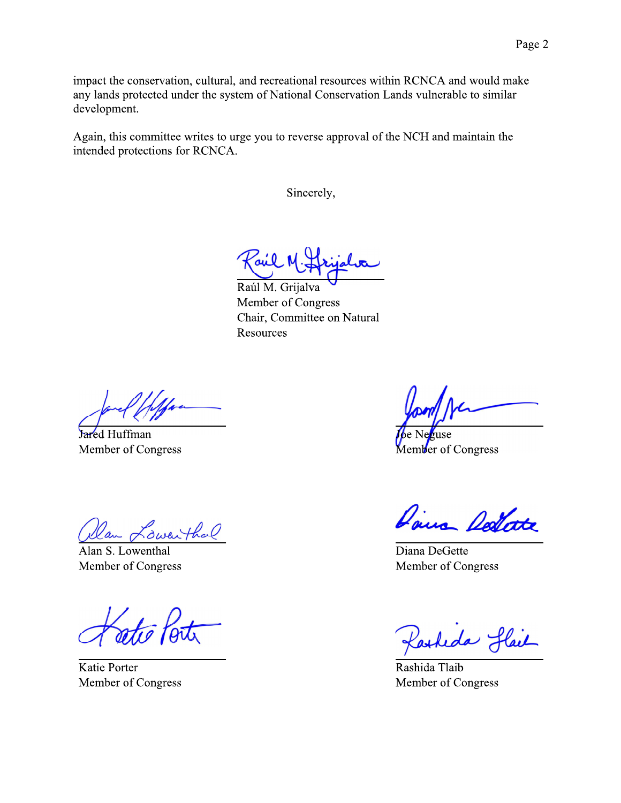impact the conservation, cultural, and recreational resources within RCNCA and would make any lands protected under the system of National Conservation Lands vulnerable to similar development.

Again, this committee writes to urge you to reverse approval of the NCH and maintain the intended protections for RCNCA.

Sincerely,

Raúl M. Griialva Member of Congress Chair, Committee on Natural Resources

Jared Huffman Member of Congress

Sweithal

Alan S. Lowenthal Member of Congress

**Katie Porter** Member of Congress

 $t$ use Member of Congress

Daire Dellate

Diana DeGette Member of Congress

Reda Hail

Rashida Tlaib Member of Congress